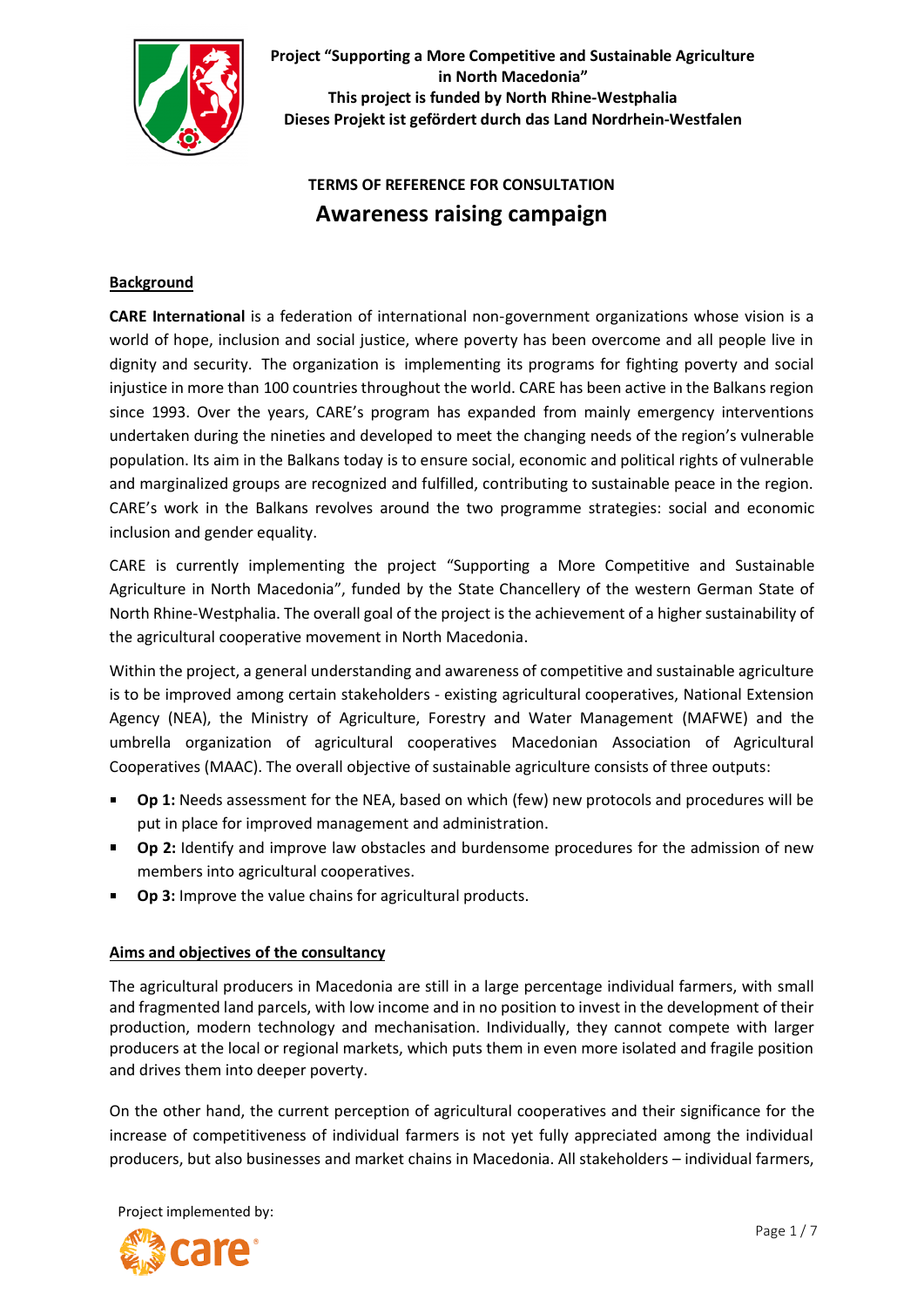

# **TERMS OF REFERENCE FOR CONSULTATION Awareness raising campaign**

## **Background**

**CARE International** is a federation of international non-government organizations whose vision is a world of hope, inclusion and social justice, where poverty has been overcome and all people live in dignity and security. The organization is implementing its programs for fighting poverty and social injustice in more than 100 countries throughout the world. CARE has been active in the Balkans region since 1993. Over the years, CARE's program has expanded from mainly emergency interventions undertaken during the nineties and developed to meet the changing needs of the region's vulnerable population. Its aim in the Balkans today is to ensure social, economic and political rights of vulnerable and marginalized groups are recognized and fulfilled, contributing to sustainable peace in the region. CARE's work in the Balkans revolves around the two programme strategies: social and economic inclusion and gender equality.

CARE is currently implementing the project "Supporting a More Competitive and Sustainable Agriculture in North Macedonia", funded by the State Chancellery of the western German State of North Rhine-Westphalia. The overall goal of the project is the achievement of a higher sustainability of the agricultural cooperative movement in North Macedonia.

Within the project, a general understanding and awareness of competitive and sustainable agriculture is to be improved among certain stakeholders - existing agricultural cooperatives, National Extension Agency (NEA), the Ministry of Agriculture, Forestry and Water Management (MAFWE) and the umbrella organization of agricultural cooperatives Macedonian Association of Agricultural Cooperatives (MAAC). The overall objective of sustainable agriculture consists of three outputs:

- **Op 1:** Needs assessment for the NEA, based on which (few) new protocols and procedures will be put in place for improved management and administration.
- **Dp 2:** Identify and improve law obstacles and burdensome procedures for the admission of new members into agricultural cooperatives.
- **Op 3:** Improve the value chains for agricultural products.

#### **Aims and objectives of the consultancy**

The agricultural producers in Macedonia are still in a large percentage individual farmers, with small and fragmented land parcels, with low income and in no position to invest in the development of their production, modern technology and mechanisation. Individually, they cannot compete with larger producers at the local or regional markets, which puts them in even more isolated and fragile position and drives them into deeper poverty.

On the other hand, the current perception of agricultural cooperatives and their significance for the increase of competitiveness of individual farmers is not yet fully appreciated among the individual producers, but also businesses and market chains in Macedonia. All stakeholders – individual farmers,



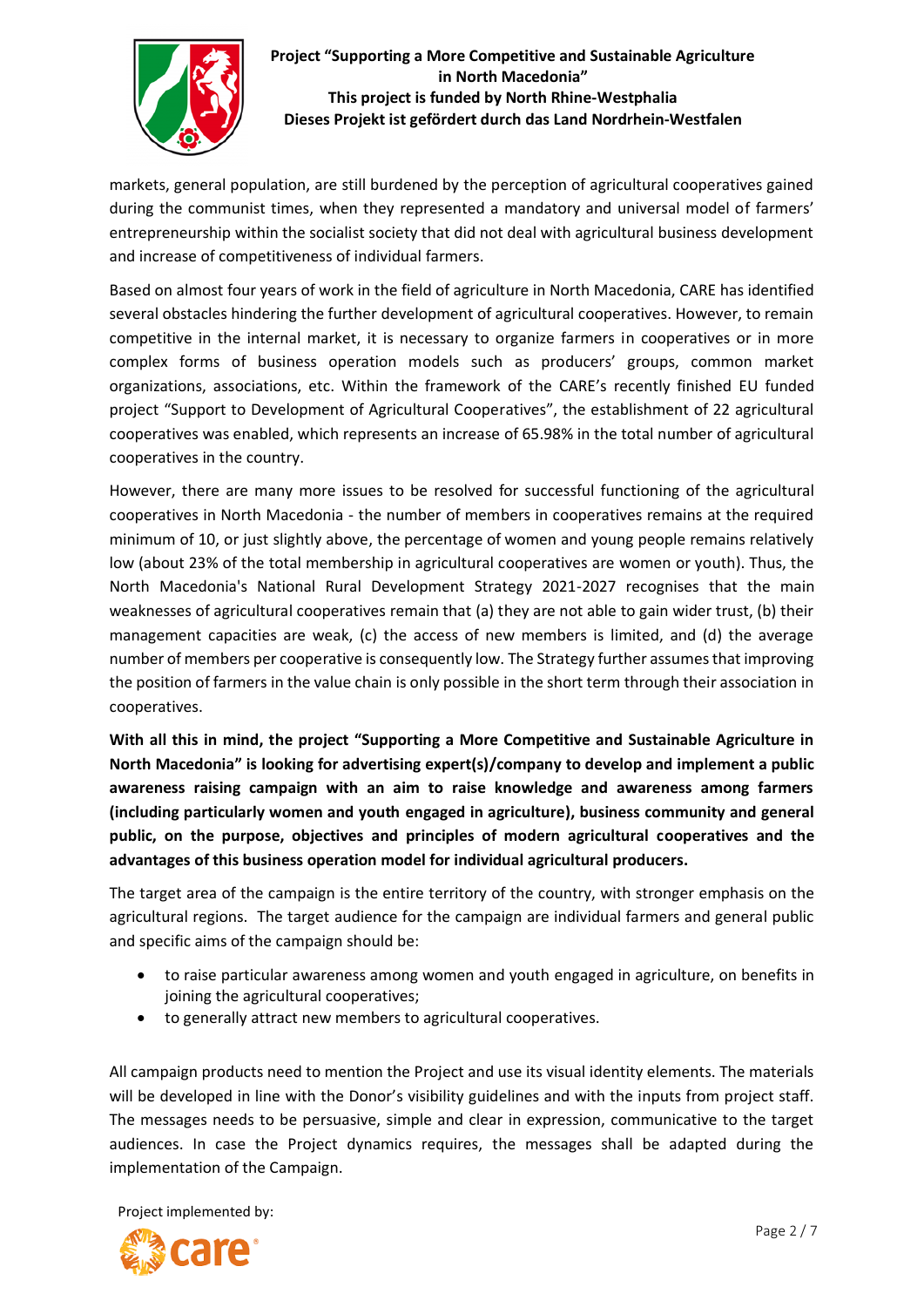

markets, general population, are still burdened by the perception of agricultural cooperatives gained during the communist times, when they represented a mandatory and universal model of farmers' entrepreneurship within the socialist society that did not deal with agricultural business development and increase of competitiveness of individual farmers.

Based on almost four years of work in the field of agriculture in North Macedonia, CARE has identified several obstacles hindering the further development of agricultural cooperatives. However, to remain competitive in the internal market, it is necessary to organize farmers in cooperatives or in more complex forms of business operation models such as producers' groups, common market organizations, associations, etc. Within the framework of the CARE's recently finished EU funded project "Support to Development of Agricultural Cooperatives", the establishment of 22 agricultural cooperatives was enabled, which represents an increase of 65.98% in the total number of agricultural cooperatives in the country.

However, there are many more issues to be resolved for successful functioning of the agricultural cooperatives in North Macedonia - the number of members in cooperatives remains at the required minimum of 10, or just slightly above, the percentage of women and young people remains relatively low (about 23% of the total membership in agricultural cooperatives are women or youth). Thus, the North Macedonia's National Rural Development Strategy 2021-2027 recognises that the main weaknesses of agricultural cooperatives remain that (a) they are not able to gain wider trust, (b) their management capacities are weak, (c) the access of new members is limited, and (d) the average number of members per cooperative is consequently low. The Strategy further assumes that improving the position of farmers in the value chain is only possible in the short term through their association in cooperatives.

**With all this in mind, the project "Supporting a More Competitive and Sustainable Agriculture in North Macedonia" is looking for advertising expert(s)/company to develop and implement a public awareness raising campaign with an aim to raise knowledge and awareness among farmers (including particularly women and youth engaged in agriculture), business community and general public, on the purpose, objectives and principles of modern agricultural cooperatives and the advantages of this business operation model for individual agricultural producers.**

The target area of the campaign is the entire territory of the country, with stronger emphasis on the agricultural regions. The target audience for the campaign are individual farmers and general public and specific aims of the campaign should be:

- to raise particular awareness among women and youth engaged in agriculture, on benefits in joining the agricultural cooperatives;
- to generally attract new members to agricultural cooperatives.

All campaign products need to mention the Project and use its visual identity elements. The materials will be developed in line with the Donor's visibility guidelines and with the inputs from project staff. The messages needs to be persuasive, simple and clear in expression, communicative to the target audiences. In case the Project dynamics requires, the messages shall be adapted during the implementation of the Campaign.

Project implemented by:

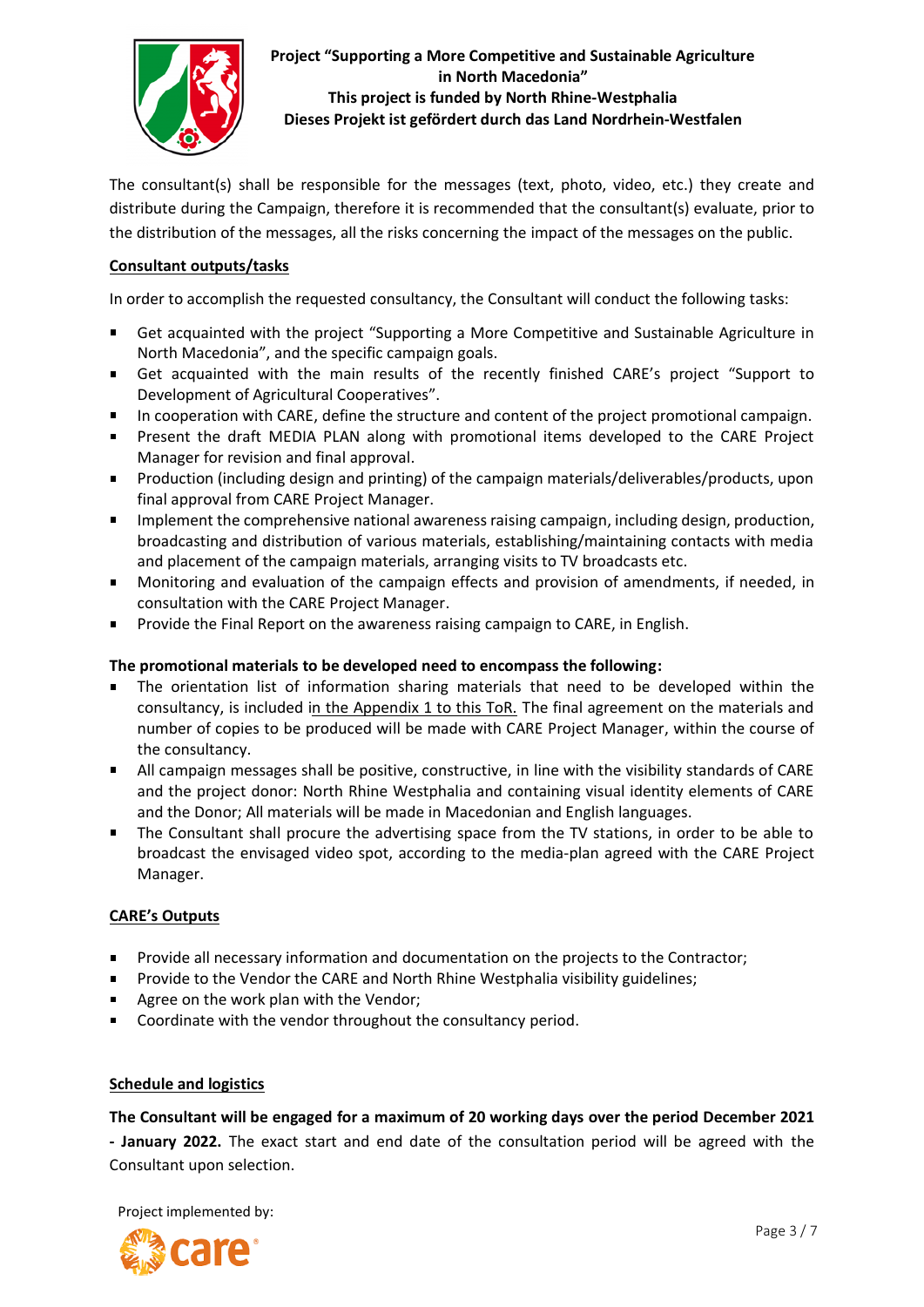

The consultant(s) shall be responsible for the messages (text, photo, video, etc.) they create and distribute during the Campaign, therefore it is recommended that the consultant(s) evaluate, prior to the distribution of the messages, all the risks concerning the impact of the messages on the public.

## **Consultant outputs/tasks**

In order to accomplish the requested consultancy, the Consultant will conduct the following tasks:

- Get acquainted with the project "Supporting a More Competitive and Sustainable Agriculture in North Macedonia", and the specific campaign goals.
- Get acquainted with the main results of the recently finished CARE's project "Support to Development of Agricultural Cooperatives".
- In cooperation with CARE, define the structure and content of the project promotional campaign.  $\blacksquare$
- **Present the draft MEDIA PLAN along with promotional items developed to the CARE Project** Manager for revision and final approval.
- Production (including design and printing) of the campaign materials/deliverables/products, upon final approval from CARE Project Manager.
- Implement the comprehensive national awareness raising campaign, including design, production, broadcasting and distribution of various materials, establishing/maintaining contacts with media and placement of the campaign materials, arranging visits to TV broadcasts etc.
- Monitoring and evaluation of the campaign effects and provision of amendments, if needed, in consultation with the CARE Project Manager.
- Provide the Final Report on the awareness raising campaign to CARE, in English.

#### **The promotional materials to be developed need to encompass the following:**

- The orientation list of information sharing materials that need to be developed within the consultancy, is included in the Appendix 1 to this ToR. The final agreement on the materials and number of copies to be produced will be made with CARE Project Manager, within the course of the consultancy.
- $\blacksquare$ All campaign messages shall be positive, constructive, in line with the visibility standards of CARE and the project donor: North Rhine Westphalia and containing visual identity elements of CARE and the Donor; All materials will be made in Macedonian and English languages.
- The Consultant shall procure the advertising space from the TV stations, in order to be able to broadcast the envisaged video spot, according to the media-plan agreed with the CARE Project Manager.

#### **CARE's Outputs**

- Provide all necessary information and documentation on the projects to the Contractor;  $\blacksquare$
- $\blacksquare$ Provide to the Vendor the CARE and North Rhine Westphalia visibility guidelines;
- Agree on the work plan with the Vendor;
- $\blacksquare$ Coordinate with the vendor throughout the consultancy period.

#### **Schedule and logistics**

**The Consultant will be engaged for a maximum of 20 working days over the period December 2021 - January 2022.** The exact start and end date of the consultation period will be agreed with the Consultant upon selection.

Project implemented by:

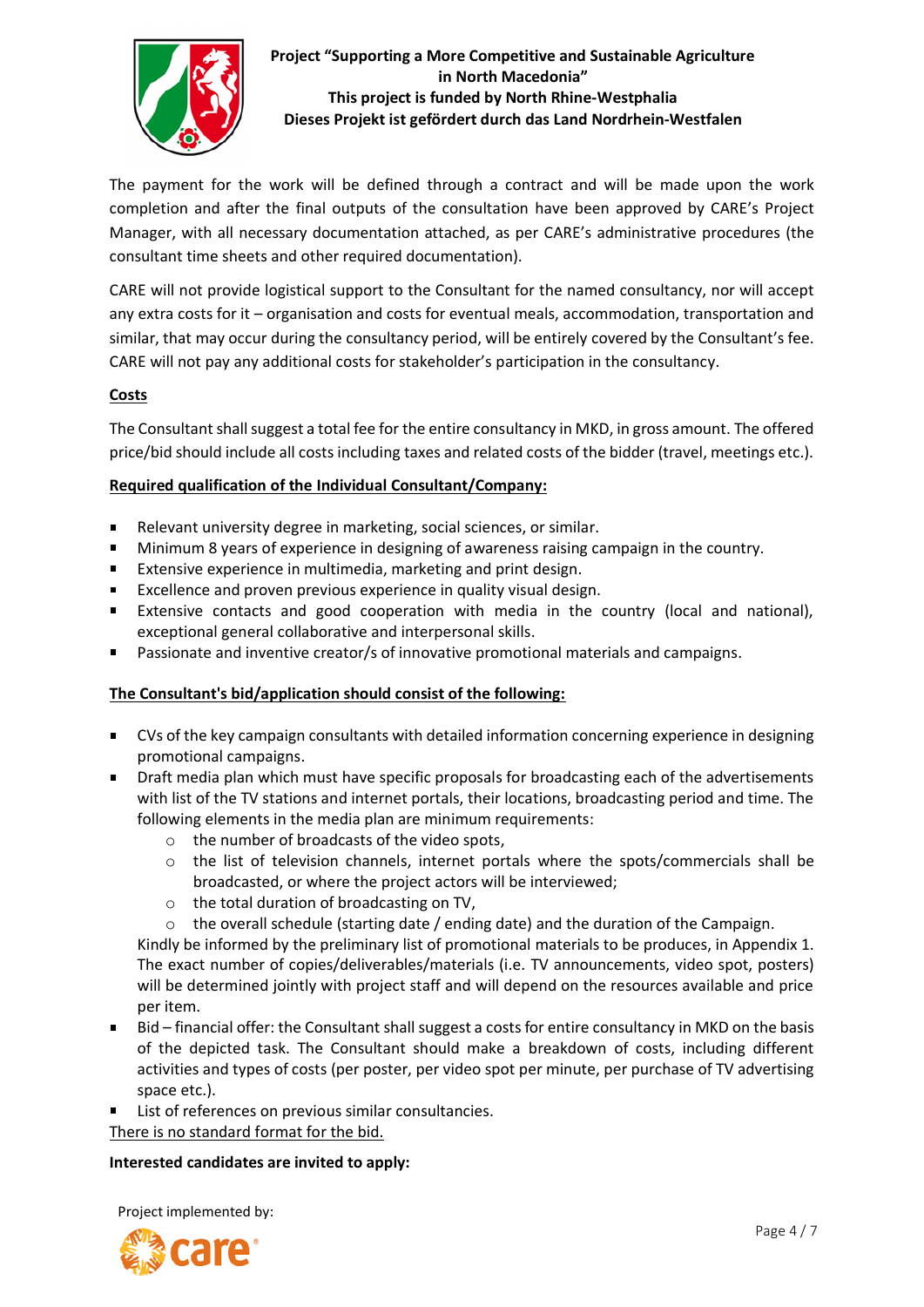

The payment for the work will be defined through a contract and will be made upon the work completion and after the final outputs of the consultation have been approved by CARE's Project Manager, with all necessary documentation attached, as per CARE's administrative procedures (the consultant time sheets and other required documentation).

CARE will not provide logistical support to the Consultant for the named consultancy, nor will accept any extra costs for it – organisation and costs for eventual meals, accommodation, transportation and similar, that may occur during the consultancy period, will be entirely covered by the Consultant's fee. CARE will not pay any additional costs for stakeholder's participation in the consultancy.

#### **Costs**

The Consultant shall suggest a total fee for the entire consultancy in MKD, in gross amount. The offered price/bid should include all costs including taxes and related costs of the bidder (travel, meetings etc.).

#### **Required qualification of the Individual Consultant/Company:**

- Relevant university degree in marketing, social sciences, or similar.
- $\blacksquare$ Minimum 8 years of experience in designing of awareness raising campaign in the country.
- $\blacksquare$ Extensive experience in multimedia, marketing and print design.
- $\blacksquare$ Excellence and proven previous experience in quality visual design.
- Extensive contacts and good cooperation with media in the country (local and national),  $\blacksquare$ exceptional general collaborative and interpersonal skills.
- Passionate and inventive creator/s of innovative promotional materials and campaigns.

# **The Consultant's bid/application should consist of the following:**

- CVs of the key campaign consultants with detailed information concerning experience in designing promotional campaigns.
- Draft media plan which must have specific proposals for broadcasting each of the advertisements with list of the TV stations and internet portals, their locations, broadcasting period and time. The following elements in the media plan are minimum requirements:
	- o the number of broadcasts of the video spots,
	- $\circ$  the list of television channels, internet portals where the spots/commercials shall be broadcasted, or where the project actors will be interviewed;
	- o the total duration of broadcasting on TV,
	- o the overall schedule (starting date / ending date) and the duration of the Campaign.

Kindly be informed by the preliminary list of promotional materials to be produces, in Appendix 1. The exact number of copies/deliverables/materials (i.e. TV announcements, video spot, posters) will be determined jointly with project staff and will depend on the resources available and price per item.

- Bid financial offer: the Consultant shall suggest a costs for entire consultancy in MKD on the basis of the depicted task. The Consultant should make a breakdown of costs, including different activities and types of costs (per poster, per video spot per minute, per purchase of TV advertising space etc.).
- List of references on previous similar consultancies.

There is no standard format for the bid.

#### **Interested candidates are invited to apply:**

Project implemented by:

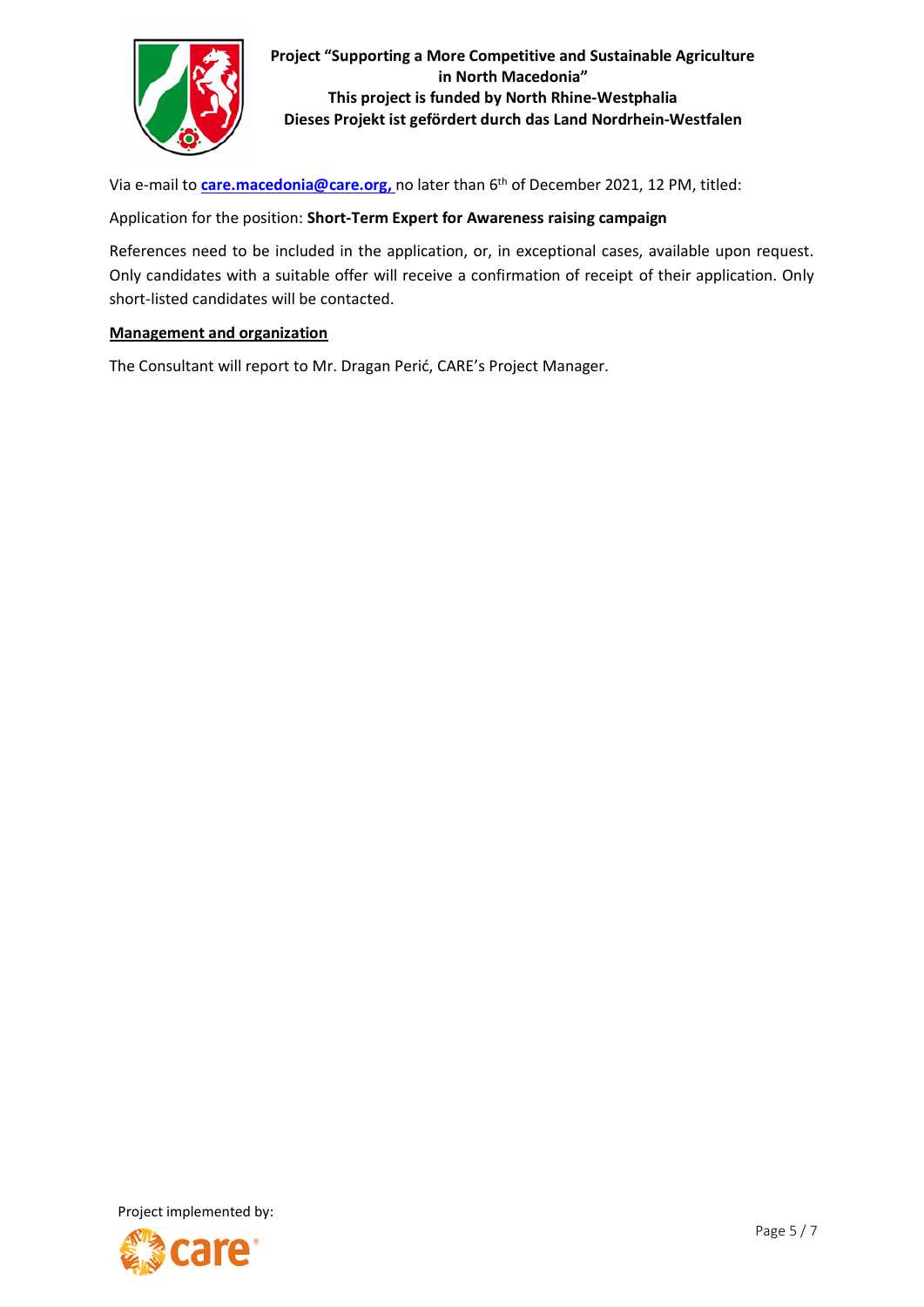

Via e-mail to *[care.macedonia@care.org,](mailto:care.macedonia@care.org)* no later than 6<sup>th</sup> of December 2021, 12 PM, titled:

#### Application for the position: **Short-Term Expert for Awareness raising campaign**

References need to be included in the application, or, in exceptional cases, available upon request. Only candidates with a suitable offer will receive a confirmation of receipt of their application. Only short-listed candidates will be contacted.

## **Management and organization**

The Consultant will report to Mr. Dragan Perić, CARE's Project Manager.

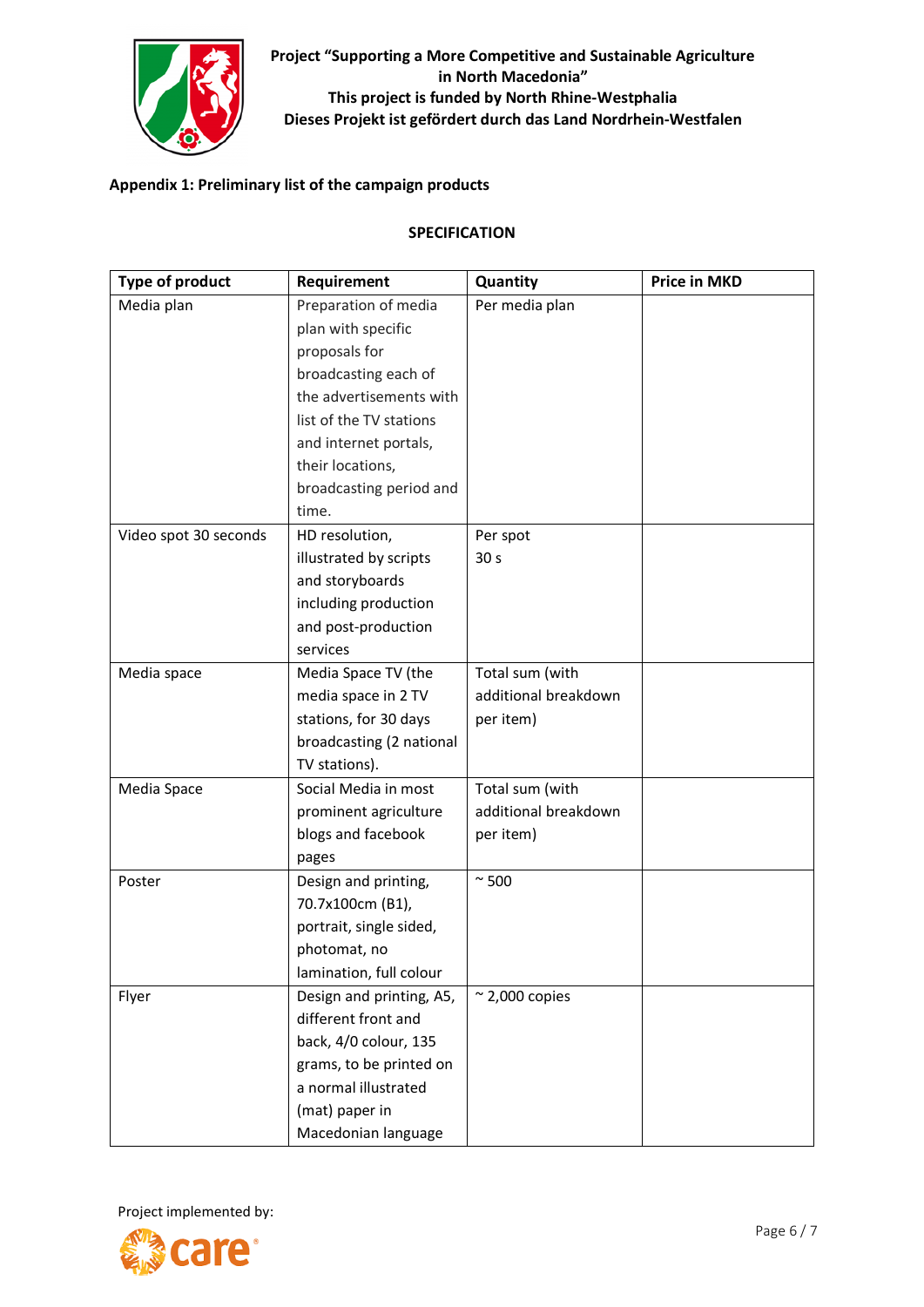

# **Appendix 1: Preliminary list of the campaign products**

#### **SPECIFICATION**

| <b>Type of product</b> | Requirement              | Quantity               | <b>Price in MKD</b> |
|------------------------|--------------------------|------------------------|---------------------|
| Media plan             | Preparation of media     | Per media plan         |                     |
|                        | plan with specific       |                        |                     |
|                        | proposals for            |                        |                     |
|                        | broadcasting each of     |                        |                     |
|                        | the advertisements with  |                        |                     |
|                        | list of the TV stations  |                        |                     |
|                        | and internet portals,    |                        |                     |
|                        | their locations,         |                        |                     |
|                        | broadcasting period and  |                        |                     |
|                        | time.                    |                        |                     |
| Video spot 30 seconds  | HD resolution,           | Per spot               |                     |
|                        | illustrated by scripts   | 30 <sub>s</sub>        |                     |
|                        | and storyboards          |                        |                     |
|                        | including production     |                        |                     |
|                        | and post-production      |                        |                     |
|                        | services                 |                        |                     |
| Media space            | Media Space TV (the      | Total sum (with        |                     |
|                        | media space in 2 TV      | additional breakdown   |                     |
|                        | stations, for 30 days    | per item)              |                     |
|                        | broadcasting (2 national |                        |                     |
|                        | TV stations).            |                        |                     |
| Media Space            | Social Media in most     | Total sum (with        |                     |
|                        | prominent agriculture    | additional breakdown   |                     |
|                        | blogs and facebook       | per item)              |                     |
|                        | pages                    |                        |                     |
| Poster                 | Design and printing,     | $\sim$ 500             |                     |
|                        | 70.7x100cm (B1),         |                        |                     |
|                        | portrait, single sided,  |                        |                     |
|                        | photomat, no             |                        |                     |
|                        | lamination, full colour  |                        |                     |
| Flyer                  | Design and printing, A5, | $\approx$ 2,000 copies |                     |
|                        | different front and      |                        |                     |
|                        | back, 4/0 colour, 135    |                        |                     |
|                        | grams, to be printed on  |                        |                     |
|                        | a normal illustrated     |                        |                     |
|                        | (mat) paper in           |                        |                     |
|                        | Macedonian language      |                        |                     |